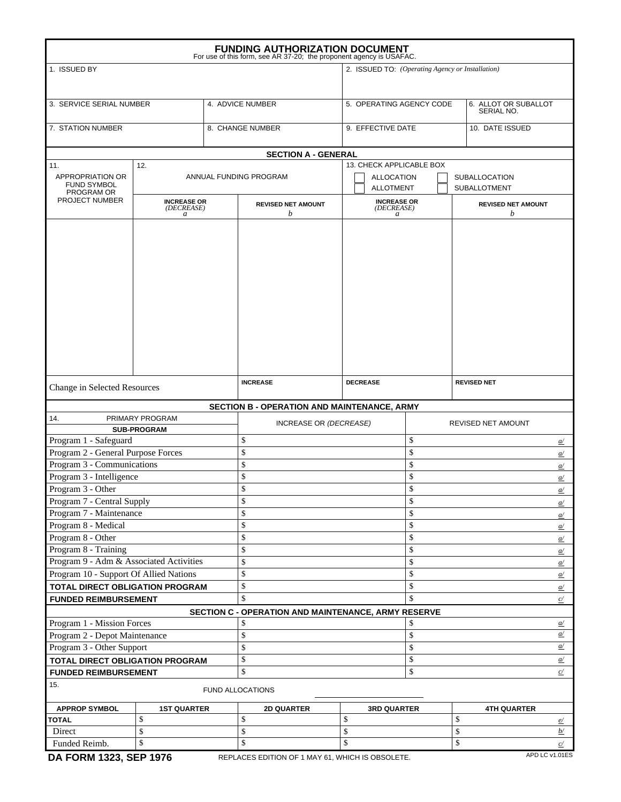| <b>FUNDING AUTHORIZATION DOCUMENT</b><br>For use of this form, see AR 37-20; the proponent agency is USAFAC. |                                                  |                 |                                                     |                                       |                    |                                             |                  |  |  |
|--------------------------------------------------------------------------------------------------------------|--------------------------------------------------|-----------------|-----------------------------------------------------|---------------------------------------|--------------------|---------------------------------------------|------------------|--|--|
| 1. ISSUED BY                                                                                                 | 2. ISSUED TO: (Operating Agency or Installation) |                 |                                                     |                                       |                    |                                             |                  |  |  |
| 3. SERVICE SERIAL NUMBER                                                                                     |                                                  |                 | 4. ADVICE NUMBER                                    | 5. OPERATING AGENCY CODE              |                    | 6. ALLOT OR SUBALLOT<br>SERIAL NO.          |                  |  |  |
| 7. STATION NUMBER                                                                                            |                                                  |                 | 8. CHANGE NUMBER                                    | 9. EFFECTIVE DATE                     |                    | 10. DATE ISSUED                             |                  |  |  |
|                                                                                                              |                                                  |                 | <b>SECTION A - GENERAL</b>                          |                                       |                    |                                             |                  |  |  |
| 11.                                                                                                          | 12.                                              |                 |                                                     | 13. CHECK APPLICABLE BOX              |                    |                                             |                  |  |  |
| APPROPRIATION OR<br><b>FUND SYMBOL</b><br>PROGRAM OR                                                         | ANNUAL FUNDING PROGRAM                           |                 |                                                     | <b>ALLOCATION</b><br><b>ALLOTMENT</b> |                    | <b>SUBALLOCATION</b><br><b>SUBALLOTMENT</b> |                  |  |  |
| PROJECT NUMBER                                                                                               | <b>INCREASE OR</b><br>(DECREASE)<br>a            |                 | <b>REVISED NET AMOUNT</b><br>b                      | <b>INCREASE OR</b><br>(DECREASE)<br>a |                    | <b>REVISED NET AMOUNT</b><br>b              |                  |  |  |
|                                                                                                              |                                                  |                 |                                                     |                                       |                    |                                             |                  |  |  |
|                                                                                                              |                                                  |                 |                                                     |                                       |                    |                                             |                  |  |  |
| Change in Selected Resources                                                                                 |                                                  | <b>INCREASE</b> | <b>DECREASE</b>                                     |                                       | <b>REVISED NET</b> |                                             |                  |  |  |
|                                                                                                              |                                                  |                 | <b>SECTION B - OPERATION AND MAINTENANCE, ARMY</b>  |                                       |                    |                                             |                  |  |  |
| PRIMARY PROGRAM<br>14.<br><b>SUB-PROGRAM</b>                                                                 |                                                  |                 | INCREASE OR (DECREASE)                              |                                       |                    | REVISED NET AMOUNT                          |                  |  |  |
| Program 1 - Safeguard                                                                                        |                                                  |                 | \$<br>\$                                            |                                       |                    |                                             | $\underline{a}$  |  |  |
| Program 2 - General Purpose Forces                                                                           |                                                  |                 | \$<br>\$                                            |                                       |                    |                                             | $\underline{a}$  |  |  |
| Program 3 - Communications                                                                                   |                                                  |                 | \$                                                  |                                       | \$                 |                                             | $\underline{a}$  |  |  |
| Program 3 - Intelligence                                                                                     |                                                  |                 | \$                                                  |                                       | \$                 |                                             | $\underline{a}$  |  |  |
| Program 3 - Other                                                                                            |                                                  |                 | \$                                                  |                                       | \$                 |                                             | a/               |  |  |
| Program 7 - Central Supply                                                                                   |                                                  |                 | \$                                                  |                                       | \$                 |                                             | $\underline{a}$  |  |  |
| Program 7 - Maintenance                                                                                      |                                                  |                 | \$<br>\$                                            |                                       |                    |                                             | $\underline{a}$  |  |  |
| Program 8 - Medical                                                                                          |                                                  |                 | \$                                                  |                                       | \$                 |                                             | $\underline{a}$  |  |  |
| Program 8 - Other                                                                                            |                                                  |                 | \$                                                  |                                       | \$                 |                                             | $\underline{a}$  |  |  |
| Program 8 - Training                                                                                         |                                                  | \$              |                                                     | \$                                    |                    | $\underline{a}$                             |                  |  |  |
| Program 9 - Adm & Associated Activities                                                                      |                                                  |                 | \$                                                  |                                       | \$                 |                                             | $\underline{a}$  |  |  |
| Program 10 - Support Of Allied Nations                                                                       |                                                  | \$              |                                                     | \$                                    |                    | $\underline{a}$                             |                  |  |  |
|                                                                                                              | TOTAL DIRECT OBLIGATION PROGRAM                  |                 | \$                                                  |                                       | \$                 |                                             | $\underline{a}$  |  |  |
| <b>FUNDED REIMBURSEMENT</b>                                                                                  |                                                  |                 | \$                                                  |                                       | $\mathbf S$        |                                             | c/               |  |  |
|                                                                                                              |                                                  |                 | SECTION C - OPERATION AND MAINTENANCE, ARMY RESERVE |                                       | \$                 |                                             |                  |  |  |
|                                                                                                              | Program 1 - Mission Forces                       |                 |                                                     |                                       |                    |                                             | $\frac{a}{a}$    |  |  |
| Program 2 - Depot Maintenance                                                                                |                                                  |                 | \$                                                  |                                       | \$                 |                                             | $\underline{a}$  |  |  |
| Program 3 - Other Support                                                                                    |                                                  |                 | \$<br>\$                                            |                                       |                    |                                             | $\underline{a}$  |  |  |
| TOTAL DIRECT OBLIGATION PROGRAM                                                                              |                                                  |                 | \$                                                  |                                       | \$                 |                                             | $\underline{a}$  |  |  |
| <b>FUNDED REIMBURSEMENT</b>                                                                                  |                                                  |                 | \$                                                  |                                       | \$                 |                                             | $\frac{c}{c}$    |  |  |
| 15.                                                                                                          |                                                  |                 | <b>FUND ALLOCATIONS</b>                             |                                       |                    |                                             |                  |  |  |
| <b>APPROP SYMBOL</b>                                                                                         | <b>1ST QUARTER</b>                               |                 | <b>2D QUARTER</b>                                   | <b>3RD QUARTER</b>                    |                    | <b>4TH QUARTER</b>                          |                  |  |  |
| <b>TOTAL</b>                                                                                                 | \$                                               |                 | \$                                                  | \$                                    |                    | \$                                          | $\frac{e}{ }$    |  |  |
| Direct                                                                                                       | \$                                               |                 | \$                                                  | \$                                    |                    | \$                                          | $\underline{b}/$ |  |  |
| \$<br>Funded Reimb.                                                                                          |                                                  |                 | \$<br>$\mathbf S$<br>\$                             |                                       |                    |                                             | c/               |  |  |
| DA FORM 1323, SEP 1976                                                                                       |                                                  |                 | REPLACES EDITION OF 1 MAY 61, WHICH IS OBSOLETE.    |                                       |                    |                                             | APD LC v1.01ES   |  |  |